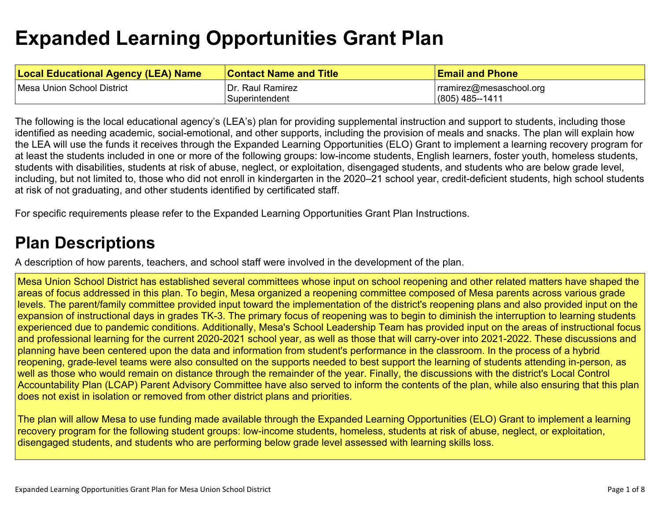# **[Expanded Learning Opportunities Grant Plan](#page-4-0)**

| <b>Local Educational Agency (LEA) Name</b> | ∣Contact Name and Title | <b>Email and Phone</b>  |
|--------------------------------------------|-------------------------|-------------------------|
| Mesa Union School District                 | Dr. Raul Ramirez        | rramirez@mesaschool.org |
|                                            | Superintendent          | (805) 485--1411         |

The following is the local educational agency's (LEA's) plan for providing supplemental instruction and support to students, including those identified as needing academic, social-emotional, and other supports, including the provision of meals and snacks. The plan will explain how the LEA will use the funds it receives through the Expanded Learning Opportunities (ELO) Grant to implement a learning recovery program for at least the students included in one or more of the following groups: low-income students, English learners, foster youth, homeless students, students with disabilities, students at risk of abuse, neglect, or exploitation, disengaged students, and students who are below grade level, including, but not limited to, those who did not enroll in kindergarten in the 2020–21 school year, credit-deficient students, high school students at risk of not graduating, and other students identified by certificated staff.

For specific requirements please refer to the Expanded Learning Opportunities Grant Plan Instructions.

### **[Plan Descriptions](#page-6-0)**

[A description of how parents, teachers, and school staff were involved in the development of the plan.](#page-6-1) 

Mesa Union School District has established several committees whose input on school reopening and other related matters have shaped the areas of focus addressed in this plan. To begin, Mesa organized a reopening committee composed of Mesa parents across various grade levels. The parent/family committee provided input toward the implementation of the district's reopening plans and also provided input on the expansion of instructional days in grades TK-3. The primary focus of reopening was to begin to diminish the interruption to learning students experienced due to pandemic conditions. Additionally, Mesa's School Leadership Team has provided input on the areas of instructional focus and professional learning for the current 2020-2021 school year, as well as those that will carry-over into 2021-2022. These discussions and planning have been centered upon the data and information from student's performance in the classroom. In the process of a hybrid reopening, grade-level teams were also consulted on the supports needed to best support the learning of students attending in-person, as well as those who would remain on distance through the remainder of the year. Finally, the discussions with the district's Local Control Accountability Plan (LCAP) Parent Advisory Committee have also served to inform the contents of the plan, while also ensuring that this plan does not exist in isolation or removed from other district plans and priorities.

The plan will allow Mesa to use funding made available through the Expanded Learning Opportunities (ELO) Grant to implement a learning recovery program for the following student groups: low-income students, homeless, students at risk of abuse, neglect, or exploitation, disengaged students, and students who are performing below grade level assessed with learning skills loss.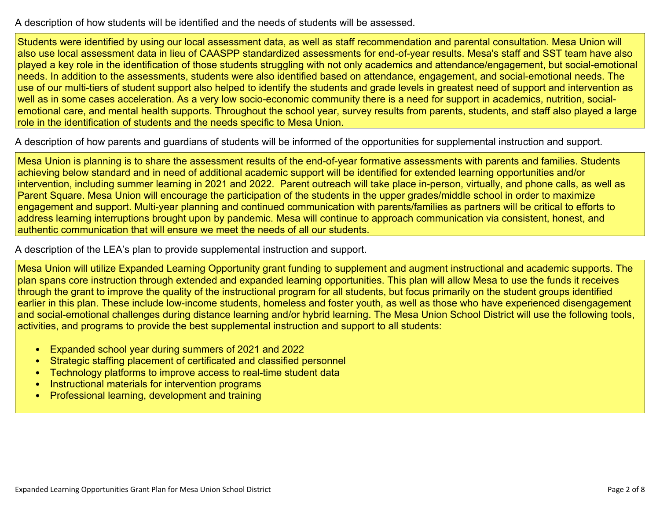[A description of how students will be identified and the needs of students will be assessed.](#page-6-2) 

Students were identified by using our local assessment data, as well as staff recommendation and parental consultation. Mesa Union will also use local assessment data in lieu of CAASPP standardized assessments for end-of-year results. Mesa's staff and SST team have also played a key role in the identification of those students struggling with not only academics and attendance/engagement, but social-emotional needs. In addition to the assessments, students were also identified based on attendance, engagement, and social-emotional needs. The use of our multi-tiers of student support also helped to identify the students and grade levels in greatest need of support and intervention as well as in some cases acceleration. As a very low socio-economic community there is a need for support in academics, nutrition, socialemotional care, and mental health supports. Throughout the school year, survey results from parents, students, and staff also played a large role in the identification of students and the needs specific to Mesa Union.

[A description of how parents and guardians of students will be informed of the opportunities for supplemental instruction and support.](#page-6-3) 

Mesa Union is planning is to share the assessment results of the end-of-year formative assessments with parents and families. Students achieving below standard and in need of additional academic support will be identified for extended learning opportunities and/or intervention, including summer learning in 2021 and 2022. Parent outreach will take place in-person, virtually, and phone calls, as well as Parent Square. Mesa Union will encourage the participation of the students in the upper grades/middle school in order to maximize engagement and support. Multi-year planning and continued communication with parents/families as partners will be critical to efforts to address learning interruptions brought upon by pandemic. Mesa will continue to approach communication via consistent, honest, and authentic communication that will ensure we meet the needs of all our students.

[A description of the LEA's plan to provide supplemental instruction and support.](#page-6-4) 

Mesa Union will utilize Expanded Learning Opportunity grant funding to supplement and augment instructional and academic supports. The plan spans core instruction through extended and expanded learning opportunities. This plan will allow Mesa to use the funds it receives through the grant to improve the quality of the instructional program for all students, but focus primarily on the student groups identified earlier in this plan. These include low-income students, homeless and foster youth, as well as those who have experienced disengagement and social-emotional challenges during distance learning and/or hybrid learning. The Mesa Union School District will use the following tools, activities, and programs to provide the best supplemental instruction and support to all students:

- Expanded school year during summers of 2021 and 2022
- Strategic staffing placement of certificated and classified personnel
- Technology platforms to improve access to real-time student data
- Instructional materials for intervention programs
- Professional learning, development and training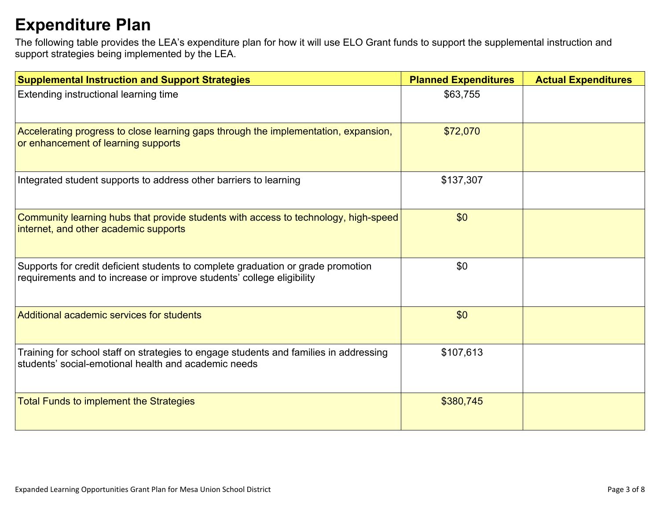# **[Expenditure Plan](#page-7-0)**

The following table provides the LEA's expenditure plan for how it will use ELO Grant funds to support the supplemental instruction and support strategies being implemented by the LEA.

| <b>Supplemental Instruction and Support Strategies</b>                                                                                                    | <b>Planned Expenditures</b> | <b>Actual Expenditures</b> |
|-----------------------------------------------------------------------------------------------------------------------------------------------------------|-----------------------------|----------------------------|
| Extending instructional learning time                                                                                                                     | \$63,755                    |                            |
| Accelerating progress to close learning gaps through the implementation, expansion,<br>or enhancement of learning supports                                | \$72,070                    |                            |
| Integrated student supports to address other barriers to learning                                                                                         | \$137,307                   |                            |
| Community learning hubs that provide students with access to technology, high-speed<br>internet, and other academic supports                              | \$0                         |                            |
| Supports for credit deficient students to complete graduation or grade promotion<br>requirements and to increase or improve students' college eligibility | \$0                         |                            |
| Additional academic services for students                                                                                                                 | \$0                         |                            |
| Training for school staff on strategies to engage students and families in addressing<br>students' social-emotional health and academic needs             | \$107,613                   |                            |
| <b>Total Funds to implement the Strategies</b>                                                                                                            | \$380,745                   |                            |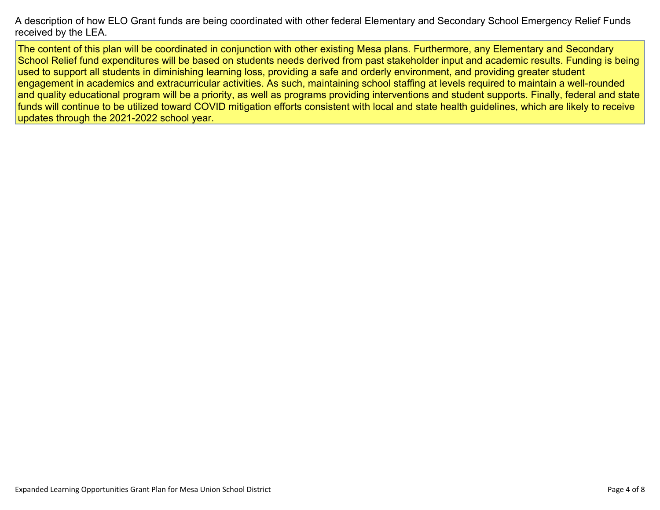[A description of how ELO Grant funds are being coordinated with other federal Elementary and Secondary School Emergency Relief Funds](#page-7-1)  [received by the LEA.](#page-7-1) 

The content of this plan will be coordinated in conjunction with other existing Mesa plans. Furthermore, any Elementary and Secondary School Relief fund expenditures will be based on students needs derived from past stakeholder input and academic results. Funding is being used to support all students in diminishing learning loss, providing a safe and orderly environment, and providing greater student engagement in academics and extracurricular activities. As such, maintaining school staffing at levels required to maintain a well-rounded and quality educational program will be a priority, as well as programs providing interventions and student supports. Finally, federal and state funds will continue to be utilized toward COVID mitigation efforts consistent with local and state health guidelines, which are likely to receive updates through the 2021-2022 school year.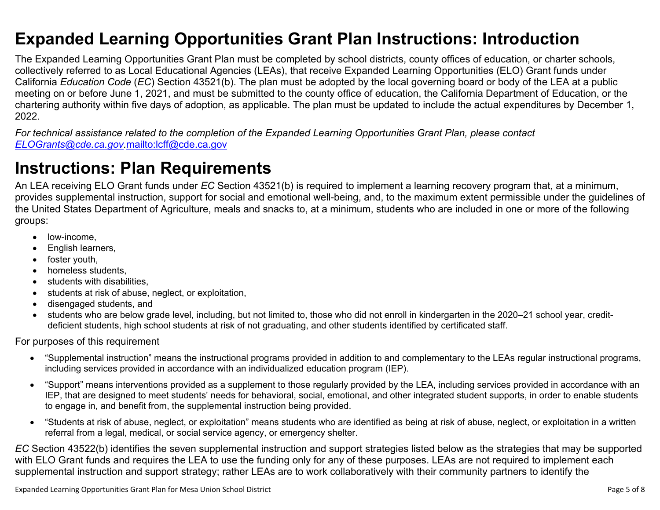### <span id="page-4-0"></span>**Expanded Learning Opportunities Grant Plan Instructions: Introduction**

The Expanded Learning Opportunities Grant Plan must be completed by school districts, county offices of education, or charter schools, collectively referred to as Local Educational Agencies (LEAs), that receive Expanded Learning Opportunities (ELO) Grant funds under California *Education Code* (*EC*) Section 43521(b). The plan must be adopted by the local governing board or body of the LEA at a public meeting on or before June 1, 2021, and must be submitted to the county office of education, the California Department of Education, or the chartering authority within five days of adoption, as applicable. The plan must be updated to include the actual expenditures by December 1, 2022.

*For technical assistance related to the completion of the Expanded Learning Opportunities Grant Plan, please contact [ELOGrants@cde.ca.gov](mailto:ELOGrants@cde.ca.gov).*<mailto:lcff@cde.ca.gov>

### **Instructions: Plan Requirements**

An LEA receiving ELO Grant funds under *EC* Section 43521(b) is required to implement a learning recovery program that, at a minimum, provides supplemental instruction, support for social and emotional well-being, and, to the maximum extent permissible under the guidelines of the United States Department of Agriculture, meals and snacks to, at a minimum, students who are included in one or more of the following groups:

- low-income.
- English learners,
- foster youth,
- homeless students,
- students with disabilities.
- students at risk of abuse, neglect, or exploitation,
- disengaged students, and
- students who are below grade level, including, but not limited to, those who did not enroll in kindergarten in the 2020–21 school year, creditdeficient students, high school students at risk of not graduating, and other students identified by certificated staff.

For purposes of this requirement

- "Supplemental instruction" means the instructional programs provided in addition to and complementary to the LEAs regular instructional programs, including services provided in accordance with an individualized education program (IEP).
- "Support" means interventions provided as a supplement to those regularly provided by the LEA, including services provided in accordance with an IEP, that are designed to meet students' needs for behavioral, social, emotional, and other integrated student supports, in order to enable students to engage in, and benefit from, the supplemental instruction being provided.
- "Students at risk of abuse, neglect, or exploitation" means students who are identified as being at risk of abuse, neglect, or exploitation in a written referral from a legal, medical, or social service agency, or emergency shelter.

*EC* Section 43522(b) identifies the seven supplemental instruction and support strategies listed below as the strategies that may be supported with ELO Grant funds and requires the LEA to use the funding only for any of these purposes. LEAs are not required to implement each supplemental instruction and support strategy; rather LEAs are to work collaboratively with their community partners to identify the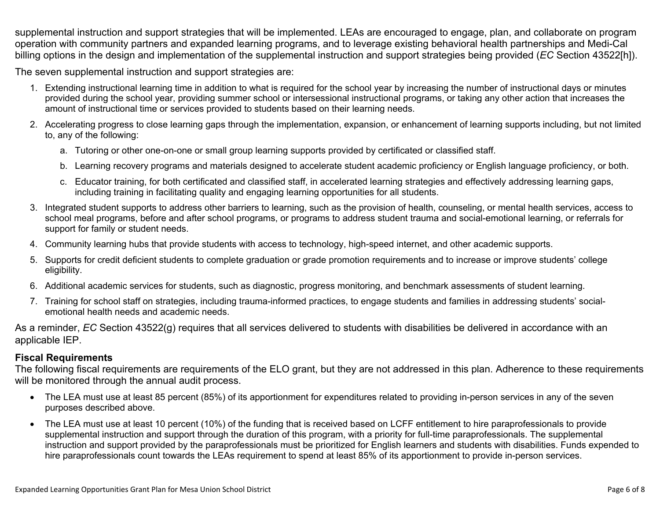supplemental instruction and support strategies that will be implemented. LEAs are encouraged to engage, plan, and collaborate on program operation with community partners and expanded learning programs, and to leverage existing behavioral health partnerships and Medi-Cal billing options in the design and implementation of the supplemental instruction and support strategies being provided (*EC* Section 43522[h]).

The seven supplemental instruction and support strategies are:

- 1. Extending instructional learning time in addition to what is required for the school year by increasing the number of instructional days or minutes provided during the school year, providing summer school or intersessional instructional programs, or taking any other action that increases the amount of instructional time or services provided to students based on their learning needs.
- 2. Accelerating progress to close learning gaps through the implementation, expansion, or enhancement of learning supports including, but not limited to, any of the following:
	- a. Tutoring or other one-on-one or small group learning supports provided by certificated or classified staff.
	- b. Learning recovery programs and materials designed to accelerate student academic proficiency or English language proficiency, or both.
	- c. Educator training, for both certificated and classified staff, in accelerated learning strategies and effectively addressing learning gaps, including training in facilitating quality and engaging learning opportunities for all students.
- 3. Integrated student supports to address other barriers to learning, such as the provision of health, counseling, or mental health services, access to school meal programs, before and after school programs, or programs to address student trauma and social-emotional learning, or referrals for support for family or student needs.
- 4. Community learning hubs that provide students with access to technology, high-speed internet, and other academic supports.
- 5. Supports for credit deficient students to complete graduation or grade promotion requirements and to increase or improve students' college eligibility.
- 6. Additional academic services for students, such as diagnostic, progress monitoring, and benchmark assessments of student learning.
- 7. Training for school staff on strategies, including trauma-informed practices, to engage students and families in addressing students' socialemotional health needs and academic needs.

As a reminder, *EC* Section 43522(g) requires that all services delivered to students with disabilities be delivered in accordance with an applicable IEP.

#### **Fiscal Requirements**

The following fiscal requirements are requirements of the ELO grant, but they are not addressed in this plan. Adherence to these requirements will be monitored through the annual audit process.

- The LEA must use at least 85 percent (85%) of its apportionment for expenditures related to providing in-person services in any of the seven purposes described above.
- The LEA must use at least 10 percent (10%) of the funding that is received based on LCFF entitlement to hire paraprofessionals to provide supplemental instruction and support through the duration of this program, with a priority for full-time paraprofessionals. The supplemental instruction and support provided by the paraprofessionals must be prioritized for English learners and students with disabilities. Funds expended to hire paraprofessionals count towards the LEAs requirement to spend at least 85% of its apportionment to provide in-person services.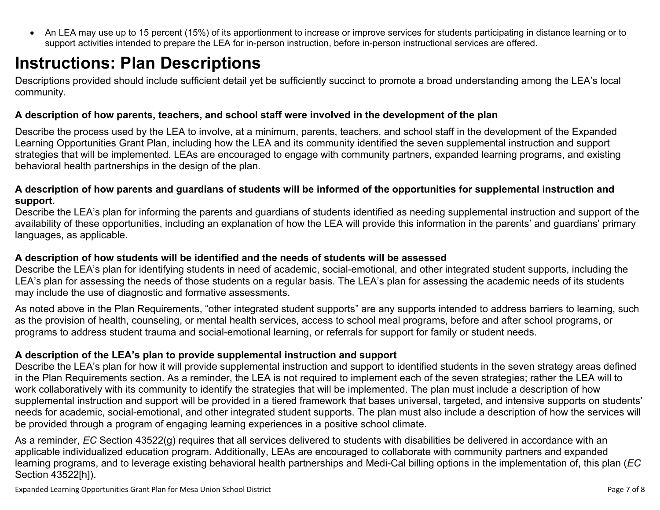<span id="page-6-0"></span> An LEA may use up to 15 percent (15%) of its apportionment to increase or improve services for students participating in distance learning or to support activities intended to prepare the LEA for in-person instruction, before in-person instructional services are offered.

# **Instructions: Plan Descriptions**

Descriptions provided should include sufficient detail yet be sufficiently succinct to promote a broad understanding among the LEA's local community.

#### <span id="page-6-1"></span>**A description of how parents, teachers, and school staff were involved in the development of the plan**

Describe the process used by the LEA to involve, at a minimum, parents, teachers, and school staff in the development of the Expanded Learning Opportunities Grant Plan, including how the LEA and its community identified the seven supplemental instruction and support strategies that will be implemented. LEAs are encouraged to engage with community partners, expanded learning programs, and existing behavioral health partnerships in the design of the plan.

#### <span id="page-6-2"></span>**A description of how parents and guardians of students will be informed of the opportunities for supplemental instruction and support.**

Describe the LEA's plan for informing the parents and guardians of students identified as needing supplemental instruction and support of the availability of these opportunities, including an explanation of how the LEA will provide this information in the parents' and guardians' primary languages, as applicable.

#### <span id="page-6-3"></span>**A description of how students will be identified and the needs of students will be assessed**

Describe the LEA's plan for identifying students in need of academic, social-emotional, and other integrated student supports, including the LEA's plan for assessing the needs of those students on a regular basis. The LEA's plan for assessing the academic needs of its students may include the use of diagnostic and formative assessments.

As noted above in the Plan Requirements, "other integrated student supports" are any supports intended to address barriers to learning, such as the provision of health, counseling, or mental health services, access to school meal programs, before and after school programs, or programs to address student trauma and social-emotional learning, or referrals for support for family or student needs.

#### <span id="page-6-4"></span>**A description of the LEA's plan to provide supplemental instruction and support**

Describe the LEA's plan for how it will provide supplemental instruction and support to identified students in the seven strategy areas defined in the Plan Requirements section. As a reminder, the LEA is not required to implement each of the seven strategies; rather the LEA will to work collaboratively with its community to identify the strategies that will be implemented. The plan must include a description of how supplemental instruction and support will be provided in a tiered framework that bases universal, targeted, and intensive supports on students' needs for academic, social-emotional, and other integrated student supports. The plan must also include a description of how the services will be provided through a program of engaging learning experiences in a positive school climate.

As a reminder, *EC* Section 43522(g) requires that all services delivered to students with disabilities be delivered in accordance with an applicable individualized education program. Additionally, LEAs are encouraged to collaborate with community partners and expanded learning programs, and to leverage existing behavioral health partnerships and Medi-Cal billing options in the implementation of, this plan (*EC*  Section 43522[h]).